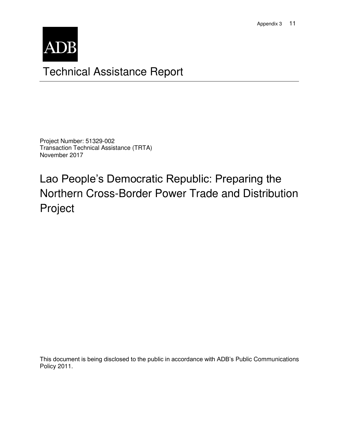

# Technical Assistance Report

Project Number: 51329-002 Transaction Technical Assistance (TRTA) November 2017

Lao People's Democratic Republic: Preparing the Northern Cross-Border Power Trade and Distribution Project

This document is being disclosed to the public in accordance with ADB's Public Communications Policy 2011.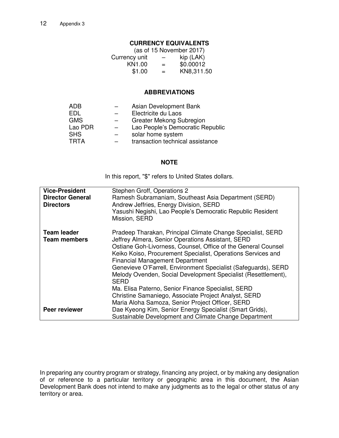## **CURRENCY EQUIVALENTS**

| (as of 15 November 2017) |     |            |  |
|--------------------------|-----|------------|--|
| Currency unit            | —   | kip (LAK)  |  |
| KN1.00                   | $=$ | \$0.00012  |  |
| \$1.00                   | $=$ | KN8,311.50 |  |

#### **ABBREVIATIONS**

| ADB         | Asian Development Bank           |
|-------------|----------------------------------|
| FDI.        | Electricite du Laos              |
| <b>GMS</b>  | Greater Mekong Subregion         |
| Lao PDR     | Lao People's Democratic Republic |
| <b>SHS</b>  | solar home system                |
| <b>TRTA</b> | transaction technical assistance |

#### **NOTE**

In this report, "\$" refers to United States dollars.

| <b>Vice-President</b><br><b>Director General</b><br><b>Directors</b> | Stephen Groff, Operations 2<br>Ramesh Subramaniam, Southeast Asia Department (SERD)<br>Andrew Jeffries, Energy Division, SERD<br>Yasushi Negishi, Lao People's Democratic Republic Resident<br>Mission, SERD                                                                                                                                                                                                                                  |
|----------------------------------------------------------------------|-----------------------------------------------------------------------------------------------------------------------------------------------------------------------------------------------------------------------------------------------------------------------------------------------------------------------------------------------------------------------------------------------------------------------------------------------|
| <b>Team leader</b><br><b>Team members</b>                            | Pradeep Tharakan, Principal Climate Change Specialist, SERD<br>Jeffrey Almera, Senior Operations Assistant, SERD<br>Ostiane Goh-Livorness, Counsel, Office of the General Counsel<br>Keiko Koiso, Procurement Specialist, Operations Services and<br><b>Financial Management Department</b><br>Genevieve O'Farrell, Environment Specialist (Safeguards), SERD<br>Melody Ovenden, Social Development Specialist (Resettlement),<br><b>SERD</b> |
|                                                                      | Ma. Elisa Paterno, Senior Finance Specialist, SERD<br>Christine Samaniego, Associate Project Analyst, SERD<br>Maria Aloha Samoza, Senior Project Officer, SERD                                                                                                                                                                                                                                                                                |
| Peer reviewer                                                        | Dae Kyeong Kim, Senior Energy Specialist (Smart Grids),<br>Sustainable Development and Climate Change Department                                                                                                                                                                                                                                                                                                                              |

In preparing any country program or strategy, financing any project, or by making any designation of or reference to a particular territory or geographic area in this document, the Asian Development Bank does not intend to make any judgments as to the legal or other status of any territory or area.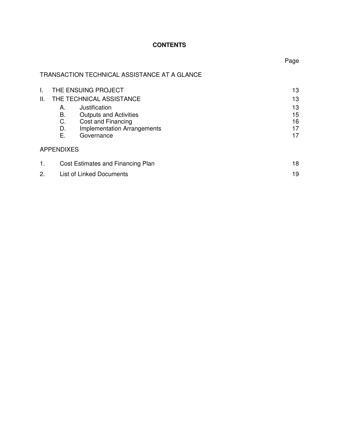# **CONTENTS**

TRANSACTION TECHNICAL ASSISTANCE AT A GLANCE

| I. | THE ENSUING PROJECT                      | 13 |
|----|------------------------------------------|----|
| Ш. | THE TECHNICAL ASSISTANCE                 | 13 |
|    | Justification<br>А.                      | 13 |
|    | В.<br><b>Outputs and Activities</b>      | 15 |
|    | C.<br>Cost and Financing                 | 16 |
|    | <b>Implementation Arrangements</b><br>D. | 17 |
|    | Е.<br>Governance                         | 17 |
|    | <b>APPENDIXES</b>                        |    |
| 1. | Cost Estimates and Financing Plan        | 18 |
| 2. | <b>List of Linked Documents</b>          | 19 |

Page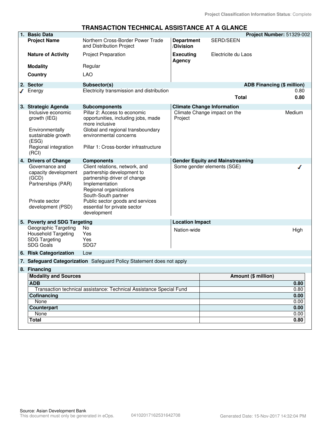#### **TRANSACTION TECHNICAL ASSISTANCE AT A GLANCE**

| 1. Basic Data                                                                                                                                 |                                                                                                                                                                                                                                                    |                                |                                                                        | Project Number: 51329-002         |
|-----------------------------------------------------------------------------------------------------------------------------------------------|----------------------------------------------------------------------------------------------------------------------------------------------------------------------------------------------------------------------------------------------------|--------------------------------|------------------------------------------------------------------------|-----------------------------------|
| <b>Project Name</b>                                                                                                                           | Northern Cross-Border Power Trade<br>and Distribution Project                                                                                                                                                                                      | <b>Department</b><br>/Division | <b>SERD/SEEN</b>                                                       |                                   |
| <b>Nature of Activity</b>                                                                                                                     | <b>Project Preparation</b>                                                                                                                                                                                                                         | <b>Executing</b><br>Agency     | Electricite du Laos                                                    |                                   |
| <b>Modality</b>                                                                                                                               | Regular                                                                                                                                                                                                                                            |                                |                                                                        |                                   |
| Country                                                                                                                                       | <b>LAO</b>                                                                                                                                                                                                                                         |                                |                                                                        |                                   |
| 2. Sector                                                                                                                                     | Subsector(s)                                                                                                                                                                                                                                       |                                |                                                                        | <b>ADB Financing (\$ million)</b> |
| Energy                                                                                                                                        | Electricity transmission and distribution                                                                                                                                                                                                          |                                | <b>Total</b>                                                           | 0.80<br>0.80                      |
| 3. Strategic Agenda                                                                                                                           | <b>Subcomponents</b>                                                                                                                                                                                                                               |                                | <b>Climate Change Information</b>                                      |                                   |
| Inclusive economic<br>growth (IEG)<br>Environmentally<br>sustainable growth<br>(ESG)<br>Regional integration<br>(RCI)<br>4. Drivers of Change | Pillar 2: Access to economic<br>opportunities, including jobs, made<br>more inclusive<br>Global and regional transboundary<br>environmental concerns<br>Pillar 1: Cross-border infrastructure<br><b>Components</b>                                 | Project                        | Climate Change impact on the<br><b>Gender Equity and Mainstreaming</b> | Medium                            |
| Governance and<br>capacity development<br>(GCD)<br>Partnerships (PAR)<br>Private sector<br>development (PSD)                                  | Client relations, network, and<br>partnership development to<br>partnership driver of change<br>Implementation<br>Regional organizations<br>South-South partner<br>Public sector goods and services<br>essential for private sector<br>development |                                | Some gender elements (SGE)                                             |                                   |
| 5. Poverty and SDG Targeting                                                                                                                  |                                                                                                                                                                                                                                                    | <b>Location Impact</b>         |                                                                        |                                   |
| Geographic Targeting<br><b>Household Targeting</b><br><b>SDG Targeting</b><br><b>SDG Goals</b>                                                | No.<br>Yes<br>Yes<br>SDG7                                                                                                                                                                                                                          | Nation-wide                    |                                                                        | High                              |
| 6. Risk Categorization                                                                                                                        | Low                                                                                                                                                                                                                                                |                                |                                                                        |                                   |
|                                                                                                                                               | 7. Safeguard Categorization Safeguard Policy Statement does not apply                                                                                                                                                                              |                                |                                                                        |                                   |
| 8. Financing                                                                                                                                  |                                                                                                                                                                                                                                                    |                                |                                                                        |                                   |
| <b>Modality and Sources</b>                                                                                                                   |                                                                                                                                                                                                                                                    |                                |                                                                        | Amount (\$ million)               |
| <b>ADB</b>                                                                                                                                    |                                                                                                                                                                                                                                                    |                                |                                                                        | 0.80                              |
|                                                                                                                                               | Transaction technical assistance: Technical Assistance Special Fund                                                                                                                                                                                |                                |                                                                        | 0.80                              |
| Cofinancing<br>None                                                                                                                           |                                                                                                                                                                                                                                                    |                                |                                                                        | 0.00<br>0.00                      |
| <b>Counterpart</b>                                                                                                                            |                                                                                                                                                                                                                                                    |                                |                                                                        | 0.00                              |
| None                                                                                                                                          |                                                                                                                                                                                                                                                    |                                |                                                                        | 0.00                              |
| Total                                                                                                                                         |                                                                                                                                                                                                                                                    |                                |                                                                        | 0.80                              |
|                                                                                                                                               |                                                                                                                                                                                                                                                    |                                |                                                                        |                                   |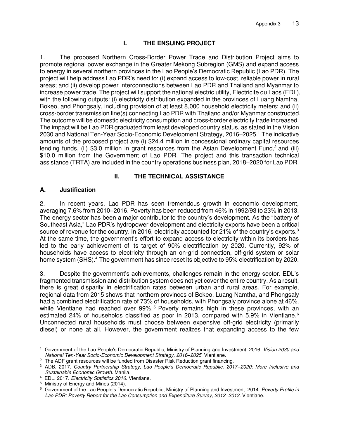# **I. THE ENSUING PROJECT**

1. The proposed Northern Cross-Border Power Trade and Distribution Project aims to promote regional power exchange in the Greater Mekong Subregion (GMS) and expand access to energy in several northern provinces in the Lao People's Democratic Republic (Lao PDR). The project will help address Lao PDR's need to: (i) expand access to low-cost, reliable power in rural areas; and (ii) develop power interconnections between Lao PDR and Thailand and Myanmar to increase power trade. The project will support the national electric utility, Electricite du Laos (EDL), with the following outputs: (i) electricity distribution expanded in the provinces of Luang Namtha, Bokeo, and Phongsaly, including provision of at least 8,000 household electricity meters; and (ii) cross-border transmission line(s) connecting Lao PDR with Thailand and/or Myanmar constructed. The outcome will be domestic electricity consumption and cross-border electricity trade increased. The impact will be Lao PDR graduated from least developed country status, as stated in the Vision 2030 and National Ten-Year Socio-Economic Development Strategy, 2016–2025.<sup>1</sup> The indicative amounts of the proposed project are (i) \$24.4 million in concessional ordinary capital resources lending funds, (ii) \$3.0 million in grant resources from the Asian Development Fund,<sup>2</sup> and (iii) \$10.0 million from the Government of Lao PDR. The project and this transaction technical assistance (TRTA) are included in the country operations business plan, 2018–2020 for Lao PDR.

### **II. THE TECHNICAL ASSISTANCE**

#### **A. Justification**

2. In recent years, Lao PDR has seen tremendous growth in economic development, averaging 7.6% from 2010–2016. Poverty has been reduced from 46% in 1992/93 to 23% in 2013. The energy sector has been a major contributor to the country's development. As the "battery of Southeast Asia," Lao PDR's hydropower development and electricity exports have been a critical source of revenue for the country. In 2016, electricity accounted for 21% of the country's exports.<sup>3</sup> At the same time, the government's effort to expand access to electricity within its borders has led to the early achievement of its target of 90% electrification by 2020. Currently, 92% of households have access to electricity through an on-grid connection, off-grid system or solar home system (SHS).<sup>4</sup> The government has since reset its objective to 95% electrification by 2020.

3. Despite the government's achievements, challenges remain in the energy sector. EDL's fragmented transmission and distribution system does not yet cover the entire country. As a result, there is great disparity in electrification rates between urban and rural areas. For example, regional data from 2015 shows that northern provinces of Bokeo, Luang Namtha, and Phongsaly had a combined electrification rate of 73% of households, with Phongsaly province alone at 46%, while Vientiane had reached over 99%.<sup>5</sup> Poverty remains high in these provinces, with an estimated 24% of households classified as poor in 2013, compared with 5.9% in Vientiane.<sup>6</sup> Unconnected rural households must choose between expensive off-grid electricity (primarily diesel) or none at all. However, the government realizes that expanding access to the few

 $\overline{a}$ <sup>1</sup> Government of the Lao People's Democratic Republic, Ministry of Planning and Investment. 2016. Vision 2030 and National Ten-Year Socio-Economic Development Strategy, 2016–2025. Vientiane.

 $2$  The ADF grant resources will be funded from Disaster Risk Reduction grant financing.

<sup>3</sup> ADB. 2017. *Country Partnership Strategy, Lao People's Democratic Republic, 2017–*2020: More Inclusive and Sustainable Economic Growth. Manila.

<sup>&</sup>lt;sup>4</sup> EDL. 2017. Electricity Statistics 2016. Vientiane.

<sup>5</sup> Ministry of Energy and Mines (2014).

<sup>&</sup>lt;sup>6</sup> Government of the Lao People's Democratic Republic, Ministry of Planning and Investment. 2014. Poverty Profile in Lao PDR: Poverty Report for the Lao Consumption and Expenditure Survey, 2012*–*2013. Vientiane.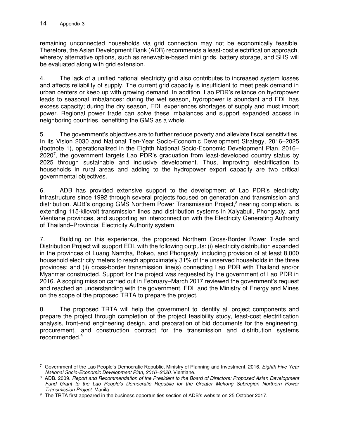remaining unconnected households via grid connection may not be economically feasible. Therefore, the Asian Development Bank (ADB) recommends a least-cost electrification approach, whereby alternative options, such as renewable-based mini grids, battery storage, and SHS will be evaluated along with grid extension.

4. The lack of a unified national electricity grid also contributes to increased system losses and affects reliability of supply. The current grid capacity is insufficient to meet peak demand in urban centers or keep up with growing demand. In addition, Lao PDR's reliance on hydropower leads to seasonal imbalances: during the wet season, hydropower is abundant and EDL has excess capacity; during the dry season, EDL experiences shortages of supply and must import power. Regional power trade can solve these imbalances and support expanded access in neighboring countries, benefiting the GMS as a whole.

5. The government's objectives are to further reduce poverty and alleviate fiscal sensitivities. In its Vision 2030 and National Ten-Year Socio-Economic Development Strategy, 2016–2025 (footnote 1), operationalized in the Eighth National Socio-Economic Development Plan, 2016– 2020<sup>7</sup> , the government targets Lao PDR's graduation from least-developed country status by 2025 through sustainable and inclusive development. Thus, improving electrification to households in rural areas and adding to the hydropower export capacity are two critical governmental objectives.

6. ADB has provided extensive support to the development of Lao PDR's electricity infrastructure since 1992 through several projects focused on generation and transmission and distribution. ADB's ongoing GMS Northern Power Transmission Project,<sup>8</sup> nearing completion, is extending 115-kilovolt transmission lines and distribution systems in Xaiyabuli, Phongsaly, and Vientiane provinces, and supporting an interconnection with the Electricity Generating Authority of Thailand–Provincial Electricity Authority system.

7. Building on this experience, the proposed Northern Cross-Border Power Trade and Distribution Project will support EDL with the following outputs: (i) electricity distribution expanded in the provinces of Luang Namtha, Bokeo, and Phongsaly, including provision of at least 8,000 household electricity meters to reach approximately 31% of the unserved households in the three provinces; and (ii) cross-border transmission line(s) connecting Lao PDR with Thailand and/or Myanmar constructed. Support for the project was requested by the government of Lao PDR in 2016. A scoping mission carried out in February–March 2017 reviewed the government's request and reached an understanding with the government, EDL and the Ministry of Energy and Mines on the scope of the proposed TRTA to prepare the project.

8. The proposed TRTA will help the government to identify all project components and prepare the project through completion of the project feasibility study, least-cost electrification analysis, front-end engineering design, and preparation of bid documents for the engineering, procurement, and construction contract for the transmission and distribution systems recommended.<sup>9</sup>

 7 Government of the Lao People's Democratic Republic, Ministry of Planning and Investment. 2016. Eighth Five-Year National Socio-Economic Development Plan, 2016*–*2020. Vientiane.

<sup>8</sup> ADB. 2009. Report and Recommendation of the President to the Board of Directors: Proposed Asian Development Fund Grant to the Lao People's Democratic Republic for the Greater Mekong Subregion Northern Power Transmission Project. Manila.

<sup>&</sup>lt;sup>9</sup> The TRTA first appeared in the business opportunities section of ADB's website on 25 October 2017.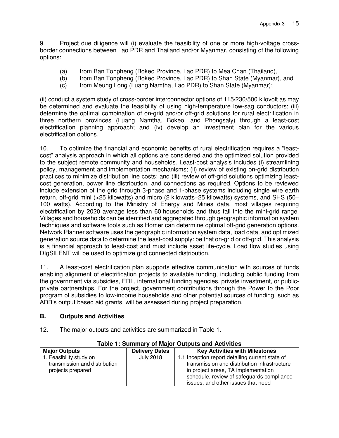9. Project due diligence will (i) evaluate the feasibility of one or more high-voltage crossborder connections between Lao PDR and Thailand and/or Myanmar, consisting of the following options:

- (a) from Ban Tonpheng (Bokeo Province, Lao PDR) to Mea Chan (Thailand),
- (b) from Ban Tonpheng (Bokeo Province, Lao PDR) to Shan State (Myanmar), and
- (c) from Meung Long (Luang Namtha, Lao PDR) to Shan State (Myanmar);

(ii) conduct a system study of cross-border interconnector options of 115/230/500 kilovolt as may be determined and evaluate the feasibility of using high-temperature low-sag conductors; (iii) determine the optimal combination of on-grid and/or off-grid solutions for rural electrification in three northern provinces (Luang Namtha, Bokeo, and Phongsaly) through a least-cost electrification planning approach; and (iv) develop an investment plan for the various electrification options.

10. To optimize the financial and economic benefits of rural electrification requires a "leastcost" analysis approach in which all options are considered and the optimized solution provided to the subject remote community and households. Least-cost analysis includes (i) streamlining policy, management and implementation mechanisms; (ii) review of existing on-grid distribution practices to minimize distribution line costs; and (iii) review of off-grid solutions optimizing leastcost generation, power line distribution, and connections as required. Options to be reviewed include extension of the grid through 3-phase and 1-phase systems including single wire earth return, off-grid mini (>25 kilowatts) and micro (2 kilowatts–25 kilowatts) systems, and SHS (50– 100 watts). According to the Ministry of Energy and Mines data, most villages requiring electrification by 2020 average less than 60 households and thus fall into the mini-grid range. Villages and households can be identified and aggregated through geographic information system techniques and software tools such as Homer can determine optimal off-grid generation options. Network Planner software uses the geographic information system data, load data, and optimized generation source data to determine the least-cost supply: be that on-grid or off-grid. This analysis is a financial approach to least-cost and must include asset life-cycle. Load flow studies using DIgSILENT will be used to optimize grid connected distribution.

11. A least-cost electrification plan supports effective communication with sources of funds enabling alignment of electrification projects to available funding, including public funding from the government via subsidies, EDL, international funding agencies, private investment, or publicprivate partnerships. For the project, government contributions through the Power to the Poor program of subsidies to low-income households and other potential sources of funding, such as ADB's output based aid grants, will be assessed during project preparation.

### **B. Outputs and Activities**

12. The major outputs and activities are summarized in Table 1.

| Table 1. Julillial V OF Major Outputs and Activities                          |                       |                                                                                                                                                                                                                           |  |
|-------------------------------------------------------------------------------|-----------------------|---------------------------------------------------------------------------------------------------------------------------------------------------------------------------------------------------------------------------|--|
| <b>Major Outputs</b>                                                          | <b>Delivery Dates</b> | <b>Key Activities with Milestones</b>                                                                                                                                                                                     |  |
| 1. Feasibility study on<br>transmission and distribution<br>projects prepared | <b>July 2018</b>      | 1.1 Inception report detailing current state of<br>transmission and distribution infrastructure<br>in project areas, TA implementation<br>schedule, review of safeguards compliance<br>issues, and other issues that need |  |

#### **Table 1: Summary of Major Outputs and Activities**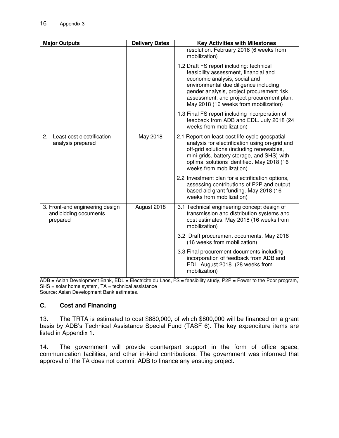| <b>Major Outputs</b>                                                 | <b>Delivery Dates</b> | <b>Key Activities with Milestones</b>                                                                                                                                                                                                                                                          |
|----------------------------------------------------------------------|-----------------------|------------------------------------------------------------------------------------------------------------------------------------------------------------------------------------------------------------------------------------------------------------------------------------------------|
|                                                                      |                       | resolution. February 2018 (6 weeks from<br>mobilization)                                                                                                                                                                                                                                       |
|                                                                      |                       | 1.2 Draft FS report including: technical<br>feasibility assessment, financial and<br>economic analysis, social and<br>environmental due diligence including<br>gender analysis, project procurement risk<br>assessment, and project procurement plan.<br>May 2018 (16 weeks from mobilization) |
|                                                                      |                       | 1.3 Final FS report including incorporation of<br>feedback from ADB and EDL. July 2018 (24<br>weeks from mobilization)                                                                                                                                                                         |
| Least-cost electrification<br>2.<br>analysis prepared                | May 2018              | 2.1 Report on least-cost life-cycle geospatial<br>analysis for electrification using on-grid and<br>off-grid solutions (including renewables,<br>mini-grids, battery storage, and SHS) with<br>optimal solutions identified. May 2018 (16<br>weeks from mobilization)                          |
|                                                                      |                       | 2.2 Investment plan for electrification options,<br>assessing contributions of P2P and output<br>based aid grant funding. May 2018 (16<br>weeks from mobilization)                                                                                                                             |
| 3. Front-end engineering design<br>and bidding documents<br>prepared | August 2018           | 3.1 Technical engineering concept design of<br>transmission and distribution systems and<br>cost estimates. May 2018 (16 weeks from<br>mobilization)                                                                                                                                           |
|                                                                      |                       | 3.2 Draft procurement documents. May 2018<br>(16 weeks from mobilization)                                                                                                                                                                                                                      |
|                                                                      |                       | 3.3 Final procurement documents including<br>incorporation of feedback from ADB and<br>EDL. August 2018. (28 weeks from<br>mobilization)                                                                                                                                                       |

ADB = Asian Development Bank, EDL = Electricite du Laos, FS = feasibility study, P2P = Power to the Poor program,  $SHS = solar$  home system,  $TA = technical$  assistance Source: Asian Development Bank estimates.

#### **C. Cost and Financing**

13. The TRTA is estimated to cost \$880,000, of which \$800,000 will be financed on a grant basis by ADB's Technical Assistance Special Fund (TASF 6). The key expenditure items are listed in Appendix 1.

14. The government will provide counterpart support in the form of office space, communication facilities, and other in-kind contributions. The government was informed that approval of the TA does not commit ADB to finance any ensuing project.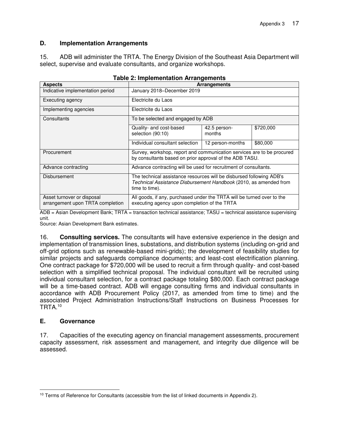### **D. Implementation Arrangements**

15. ADB will administer the TRTA. The Energy Division of the Southeast Asia Department will select, supervise and evaluate consultants, and organize workshops.

| <b>Aspects</b>                                                 | $1000$ E. Implementation Andrewments<br><b>Arrangements</b>                                                                                                 |                                   |           |  |
|----------------------------------------------------------------|-------------------------------------------------------------------------------------------------------------------------------------------------------------|-----------------------------------|-----------|--|
| Indicative implementation period                               | January 2018–December 2019                                                                                                                                  |                                   |           |  |
| Executing agency                                               | Electricite du Laos                                                                                                                                         |                                   |           |  |
| Implementing agencies                                          | Electricite du Laos                                                                                                                                         |                                   |           |  |
| Consultants                                                    |                                                                                                                                                             | To be selected and engaged by ADB |           |  |
|                                                                | Quality- and cost-based<br>selection (90:10)                                                                                                                | 42.5 person-<br>months            | \$720,000 |  |
|                                                                | Individual consultant selection                                                                                                                             | 12 person-months                  | \$80,000  |  |
| Procurement                                                    | Survey, workshop, report and communication services are to be procured<br>by consultants based on prior approval of the ADB TASU.                           |                                   |           |  |
| Advance contracting                                            | Advance contracting will be used for recruitment of consultants.                                                                                            |                                   |           |  |
| Disbursement                                                   | The technical assistance resources will be disbursed following ADB's<br>Technical Assistance Disbursement Handbook (2010, as amended from<br>time to time). |                                   |           |  |
| Asset turnover or disposal<br>arrangement upon TRTA completion | All goods, if any, purchased under the TRTA will be turned over to the<br>executing agency upon completion of the TRTA                                      |                                   |           |  |

|  | <b>Table 2: Implementation Arrangements</b> |
|--|---------------------------------------------|
|  |                                             |

ADB = Asian Development Bank; TRTA = transaction technical assistance; TASU = technical assistance supervising unit.

Source: Asian Development Bank estimates.

16. **Consulting services.** The consultants will have extensive experience in the design and implementation of transmission lines, substations, and distribution systems (including on-grid and off-grid options such as renewable-based mini-grids); the development of feasibility studies for similar projects and safeguards compliance documents; and least-cost electrification planning. One contract package for \$720,000 will be used to recruit a firm through quality- and cost-based selection with a simplified technical proposal. The individual consultant will be recruited using individual consultant selection, for a contract package totaling \$80,000. Each contract package will be a time-based contract. ADB will engage consulting firms and individual consultants in accordance with ADB Procurement Policy (2017, as amended from time to time) and the associated Project Administration Instructions/Staff Instructions on Business Processes for TRTA.<sup>10</sup>

### **E. Governance**

17. Capacities of the executing agency on financial management assessments, procurement capacity assessment, risk assessment and management, and integrity due diligence will be assessed.

 $\overline{a}$ <sup>10</sup> Terms of Reference for Consultants (accessible from the list of linked documents in Appendix 2).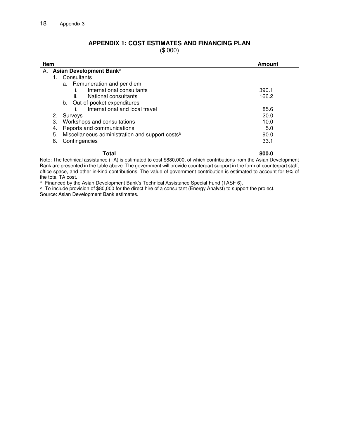#### **APPENDIX 1: COST ESTIMATES AND FINANCING PLAN**

(\$'000)

|    | <b>Item</b><br>Amount                                             |       |  |
|----|-------------------------------------------------------------------|-------|--|
| А. | Asian Development Bank <sup>a</sup>                               |       |  |
|    | Consultants                                                       |       |  |
|    | a. Remuneration and per diem                                      |       |  |
|    | International consultants                                         | 390.1 |  |
|    | ii.<br>National consultants                                       | 166.2 |  |
|    | Out-of-pocket expenditures<br>b.                                  |       |  |
|    | International and local travel                                    | 85.6  |  |
|    | 2.<br>Surveys                                                     | 20.0  |  |
|    | Workshops and consultations<br>3.                                 | 10.0  |  |
|    | Reports and communications<br>4.                                  | 5.0   |  |
|    | 5.<br>Miscellaneous administration and support costs <sup>b</sup> | 90.0  |  |
|    | Contingencies<br>6.                                               | 33.1  |  |
|    | 800.0<br>Total                                                    |       |  |

Note: The technical assistance (TA) is estimated to cost \$880,000, of which contributions from the Asian Development Bank are presented in the table above. The government will provide counterpart support in the form of counterpart staff, office space, and other in-kind contributions. The value of government contribution is estimated to account for 9% of the total TA cost.

a Financed by the Asian Development Bank's Technical Assistance Special Fund (TASF 6).

b To include provision of \$80,000 for the direct hire of a consultant (Energy Analyst) to support the project. Source: Asian Development Bank estimates.